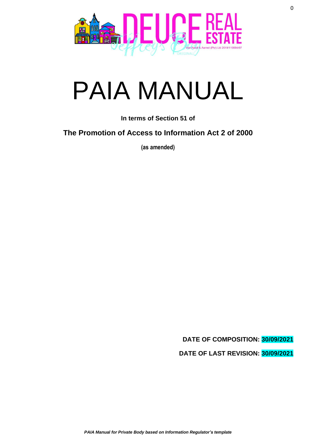

# PAIA MANUAL

**In terms of Section 51 of**

**The Promotion of Access to Information Act 2 of 2000**

**(as amended)**

**DATE OF COMPOSITION: 30/09/2021 DATE OF LAST REVISION: 30/09/2021**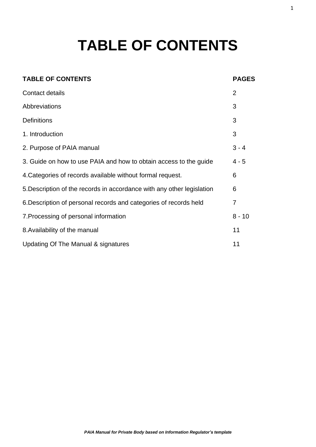## **TABLE OF CONTENTS**

#### **TABLE OF CONTENTS PAGES**

| Contact details                                                        | $\overline{2}$ |
|------------------------------------------------------------------------|----------------|
| Abbreviations                                                          | 3              |
| <b>Definitions</b>                                                     | 3              |
| 1. Introduction                                                        | 3              |
| 2. Purpose of PAIA manual                                              | $3 - 4$        |
| 3. Guide on how to use PAIA and how to obtain access to the guide      | $4 - 5$        |
| 4. Categories of records available without formal request.             | 6              |
| 5. Description of the records in accordance with any other legislation | 6              |
| 6. Description of personal records and categories of records held      | $\overline{7}$ |
| 7. Processing of personal information                                  | $8 - 10$       |
| 8. Availability of the manual                                          | 11             |
| Updating Of The Manual & signatures                                    | 11             |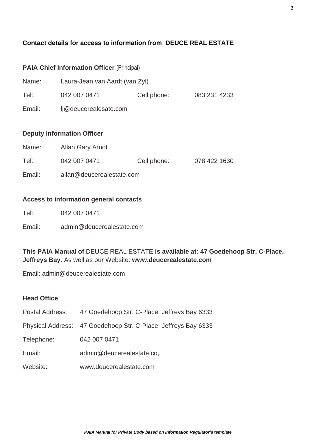#### **Contact details for access to information from**: **DEUCE REAL ESTATE**

### **PAIA Chief Information Officer** (Principal)

| Name:  | Laura-Jean van Aardt (van Zyl) |             |              |
|--------|--------------------------------|-------------|--------------|
| Tel:   | 042 007 0471                   | Cell phone: | 083 231 4233 |
| Email: | lj@deucerealesate.com          |             |              |

#### **Deputy Information Officer**

| Name:  | Allan Gary Arnot          |             |              |
|--------|---------------------------|-------------|--------------|
| Tel:   | 042 007 0471              | Cell phone: | 078 422 1630 |
| Email: | allan@deucerealestate.com |             |              |

#### **Access to information general contacts**

| Tel: | 042 007 0471 |
|------|--------------|
|------|--------------|

Email: admin@deucerealestate.com

#### **This PAIA Manual of** DEUCE REAL ESTATE **is available at: 47 Goedehoop Str, C-Place, Jeffreys Bay**. As well as our Website: **www.deucerealestate.com**

Email: admin@deucerealestate.com

#### **Head Office**

| Postal Address: | 47 Goedehoop Str. C-Place, Jeffreys Bay 6333                   |
|-----------------|----------------------------------------------------------------|
|                 | Physical Address: 47 Goedehoop Str. C-Place, Jeffreys Bay 6333 |
| Telephone:      | 042 007 0471                                                   |
| Email:          | admin@deucerealestate.co,                                      |
| Website:        | www.deucerealestate.com                                        |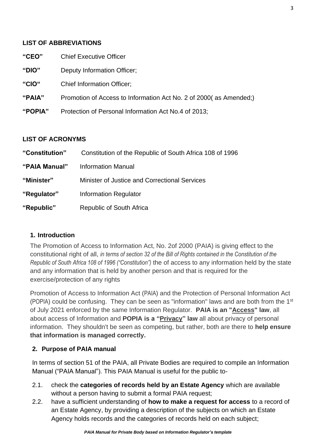#### **LIST OF ABBREVIATIONS**

| " $CEO"$ | <b>Chief Executive Officer</b> |
|----------|--------------------------------|
|----------|--------------------------------|

- **"DIO"** Deputy Information Officer;
- **"CIO"** Chief Information Officer;
- **"PAIA"** Promotion of Access to Information Act No. 2 of 2000( as Amended;)
- **"POPIA"** Protection of Personal Information Act No.4 of 2013;

#### **LIST OF ACRONYMS**

| "Constitution" | Constitution of the Republic of South Africa 108 of 1996 |
|----------------|----------------------------------------------------------|
| "PAIA Manual"  | <b>Information Manual</b>                                |
| "Minister"     | Minister of Justice and Correctional Services            |
| "Regulator"    | <b>Information Regulator</b>                             |
| "Republic"     | Republic of South Africa                                 |

#### **1. Introduction**

The Promotion of Access to Information Act, No. 2of 2000 (PAIA) is giving effect to the constitutional right of all, *in terms of section 32 of the Bill of Rights contained in the Constitution of the Republic of South Africa 108 of 1996 ("Constitution")* the of access to any information held by the state and any information that is held by another person and that is required for the exercise/protection of any rights

Promotion of Access to Information Act (PAIA) and the Protection of Personal Information Act (POPIA) could be confusing. They can be seen as "information" laws and are both from the 1<sup>st</sup> of July 2021 enforced by the same Information Regulator. **PAIA is an "Access" law**, all about access of Information and **POPIA is a "Privacy" law** all about privacy of personal information. They shouldn't be seen as competing, but rather, both are there to **help ensure that information is managed correctly.**

#### **2. Purpose of PAIA manual**

In terms of section 51 of the PAIA, all Private Bodies are required to compile an Information Manual ("PAIA Manual"). This PAIA Manual is useful for the public to-

- 2.1. check the **categories of records held by an Estate Agency** which are available without a person having to submit a formal PAIA request;
- 2.2. have a sufficient understanding of **how to make a request for access** to a record of an Estate Agency, by providing a description of the subjects on which an Estate Agency holds records and the categories of records held on each subject;

3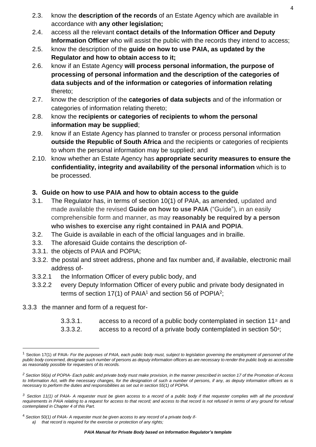- 2.3. know the **description of the records** of an Estate Agency which are available in accordance with **any other legislation;**
- 2.4. access all the relevant **contact details of the Information Officer and Deputy Information Officer** who will assist the public with the records they intend to access;
- 2.5. know the description of the **guide on how to use PAIA, as updated by the Regulator and how to obtain access to it;**
- 2.6. know if an Estate Agency **will process personal information, the purpose of processing of personal information and the description of the categories of data subjects and of the information or categories of information relating** thereto;
- 2.7. know the description of the **categories of data subjects** and of the information or categories of information relating thereto;
- 2.8. know the **recipients or categories of recipients to whom the personal information may be supplied**;
- 2.9. know if an Estate Agency has planned to transfer or process personal information **outside the Republic of South Africa** and the recipients or categories of recipients to whom the personal information may be supplied; and
- 2.10. know whether an Estate Agency has **appropriate security measures to ensure the confidentiality, integrity and availability of the personal information** which is to be processed.

#### **3. Guide on how to use PAIA and how to obtain access to the guide**

- 3.1. The Regulator has, in terms of section 10(1) of PAIA, as amended, updated and made available the revised **Guide on how to use PAIA** ("Guide"), in an easily comprehensible form and manner, as may **reasonably be required by a person who wishes to exercise any right contained in PAIA and POPIA**.
- 3.2. The Guide is available in each of the official languages and in braille.
- 3.3. The aforesaid Guide contains the description of-
- 3.3.1. the objects of PAIA and POPIA;
- 3.3.2. the postal and street address, phone and fax number and, if available, electronic mail address of-
- 3.3.2.1 the Information Officer of every public body, and
- 3.3.2.2 every Deputy Information Officer of every public and private body designated in terms of section 17(1) of PAIA<sup>1</sup> and section 56 of POPIA<sup>2</sup>;
- 3.3.3 the manner and form of a request for-
	- 3.3.3.1. access to a record of a public body contemplated in section 11*3;* and
	- 3.3.3.2. access to a record of a private body contemplated in section 50<sup>4</sup>;

*a) that record is required for the exercise or protection of any rights;*

<sup>1</sup> Section 17(1) of PAIA- *For the purposes of PAIA, each public body must, subject to legislation governing the employment of personnel of the public body concerned, designate such number of persons as deputy information officers as are necessary to render the public body as accessible as reasonably possible for requesters of its records.*

*<sup>2</sup> Section 56(a) of POPIA- Each public and private body must make provision, in the manner prescribed in section 17 of the Promotion of Access to Information Act, with the necessary changes, for the designation of such a number of persons, if any, as deputy information officers as is necessary to perform the duties and responsibilities as set out in section 55(1) of POPIA.*

*<sup>3</sup> Section 11(1) of PAIA- A requester must be given access to a record of a public body if that requester complies with all the procedural*  requirements in PAIA relating to a request for access to that record; and access to that record is not refused in terms of any ground for refusal *contemplated in Chapter 4 of this Part.*

<sup>4</sup> *Section 50(1) of PAIA- A requester must be given access to any record of a private body if-*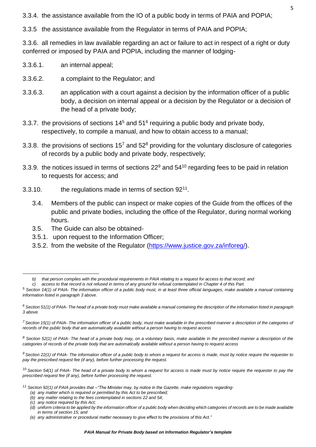3.3.4. the assistance available from the IO of a public body in terms of PAIA and POPIA;

3.3.5 the assistance available from the Regulator in terms of PAIA and POPIA;

3.3.6. all remedies in law available regarding an act or failure to act in respect of a right or duty conferred or imposed by PAIA and POPIA, including the manner of lodging-

- 3.3.6.1. an internal appeal;
- 3.3.6.2. a complaint to the Regulator; and
- 3.3.6.3. an application with a court against a decision by the information officer of a public body, a decision on internal appeal or a decision by the Regulator or a decision of the head of a private body;
- 3.3.7. the provisions of sections  $14<sup>5</sup>$  and  $51<sup>6</sup>$  requiring a public body and private body, respectively, to compile a manual, and how to obtain access to a manual;
- 3.3.8. the provisions of sections  $15<sup>7</sup>$  and  $52<sup>8</sup>$  providing for the voluntary disclosure of categories of records by a public body and private body, respectively;
- 3.3.9. the notices issued in terms of sections  $22^9$  and  $54^{10}$  regarding fees to be paid in relation to requests for access; and
- 3.3.10. the regulations made in terms of section  $92^{11}$ .
	- 3.4. Members of the public can inspect or make copies of the Guide from the offices of the public and private bodies, including the office of the Regulator, during normal working hours.
	- 3.5. The Guide can also be obtained-
	- 3.5.1. upon request to the Information Officer;
	- 3.5.2. from the website of the Regulator [\(https://www.justice.gov.za/inforeg/\)](https://www.justice.gov.za/inforeg/).

*<sup>8</sup> Section 52(1) of PAIA- The head of a private body may, on a voluntary basis, make available in the prescribed manner a description of the categories of records of the private body that are automatically available without a person having to request access*

*<sup>9</sup> Section 22(1) of PAIA- The information officer of a public body to whom a request for access is made, must by notice require the requester to pay the prescribed request fee (if any), before further processing the request.*

<sup>10</sup> *Section 54(1) of PAIA- The head of a private body to whom a request for access is made must by notice require the requester to pay the prescribed request fee (if any), before further processing the request.*

*<sup>11</sup> Section 92(1) of PAIA provides that –"The Minister may, by notice in the Gazette, make regulations regarding-*

*b) that person complies with the procedural requirements in PAIA relating to a request for access to that record; and*

*c) access to that record is not refused in terms of any ground for refusal contemplated in Chapter 4 of this Part.*

*<sup>5</sup> Section 14(1) of PAIA- The information officer of a public body must, in at least three official languages, make available a manual containing information listed in paragraph 3 above.*

*<sup>6</sup> Section 51(1) of PAIA- The head of a private body must make available a manual containing the description of the information listed in paragraph 3 above.*

*<sup>7</sup> Section 15(1) of PAIA- The information officer of a public body, must make available in the prescribed manner a description of the categories of records of the public body that are automatically available without a person having to request access*

*<sup>(</sup>a) any matter which is required or permitted by this Act to be prescribed;*

*<sup>(</sup>b) any matter relating to the fees contemplated in sections 22 and 54;*

*<sup>(</sup>c) any notice required by this Act;*

*<sup>(</sup>d) uniform criteria to be applied by the information officer of a public body when deciding which categories of records are to be made available in terms of section 15; and*

*<sup>(</sup>e) any administrative or procedural matter necessary to give effect to the provisions of this Act."*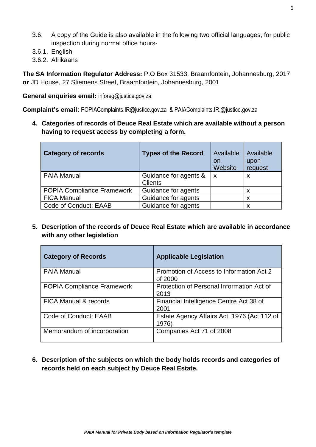- 3.6. A copy of the Guide is also available in the following two official languages, for public inspection during normal office hours-
- 3.6.1. English
- 3.6.2. Afrikaans

**The SA Information Regulator Address:** P.O Box 31533, Braamfontein, Johannesburg, 2017 **or** JD House, 27 Stiemens Street, Braamfontein, Johannesburg, 2001

**General enquiries email:** inforeg@justice.gov.za.

**Complaint's email:** POPIAComplaints.IR@justice.gov.za & PAIAComplaints.IR.@justice.gov.za

**4. Categories of records of Deuce Real Estate which are available without a person having to request access by completing a form.**

| <b>Category of records</b>        | <b>Types of the Record</b> | Available<br>on<br>Website | Available<br>upon<br>request |
|-----------------------------------|----------------------------|----------------------------|------------------------------|
| <b>PAIA Manual</b>                | Guidance for agents &      | $\mathsf{x}$               | X                            |
|                                   | <b>Clients</b>             |                            |                              |
| <b>POPIA Compliance Framework</b> | Guidance for agents        |                            | X                            |
| <b>FICA Manual</b>                | Guidance for agents        |                            | X                            |
| Code of Conduct: EAAB             | Guidance for agents        |                            | X                            |

**5. Description of the records of Deuce Real Estate which are available in accordance with any other legislation**

| <b>Category of Records</b>        | <b>Applicable Legislation</b>                        |
|-----------------------------------|------------------------------------------------------|
| <b>PAIA Manual</b>                | Promotion of Access to Information Act 2<br>of 2000  |
| <b>POPIA Compliance Framework</b> | Protection of Personal Information Act of<br>2013    |
| <b>FICA Manual &amp; records</b>  | Financial Intelligence Centre Act 38 of<br>2001      |
| Code of Conduct: EAAB             | Estate Agency Affairs Act, 1976 (Act 112 of<br>1976) |
| Memorandum of incorporation       | Companies Act 71 of 2008                             |

**6. Description of the subjects on which the body holds records and categories of records held on each subject by Deuce Real Estate.**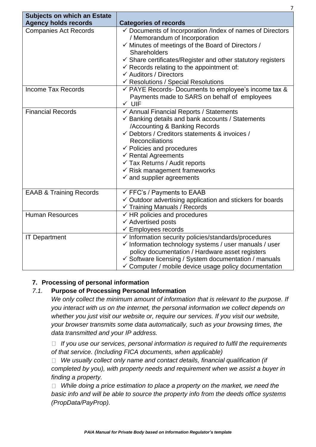| <b>Subjects on which an Estate</b><br><b>Agency holds records</b> | <b>Categories of records</b>                                                                                                                                                                                                                                                                                                                                                                                                |
|-------------------------------------------------------------------|-----------------------------------------------------------------------------------------------------------------------------------------------------------------------------------------------------------------------------------------------------------------------------------------------------------------------------------------------------------------------------------------------------------------------------|
| <b>Companies Act Records</b>                                      | ✓ Documents of Incorporation /Index of names of Directors<br>/ Memorandum of Incorporation<br>$\checkmark$ Minutes of meetings of the Board of Directors /<br>Shareholders<br>$\checkmark$ Share certificates/Register and other statutory registers<br>$\checkmark$ Records relating to the appointment of:<br>← Auditors / Directors<br>← Resolutions / Special Resolutions                                               |
| <b>Income Tax Records</b>                                         | $\checkmark$ PAYE Records- Documents to employee's income tax &<br>Payments made to SARS on behalf of employees<br>$\checkmark$ UIF                                                                                                                                                                                                                                                                                         |
| <b>Financial Records</b>                                          | ← Annual Financial Reports / Statements<br>$\checkmark$ Banking details and bank accounts / Statements<br>/Accounting & Banking Records<br>← Debtors / Creditors statements & invoices /<br><b>Reconciliations</b><br>$\checkmark$ Policies and procedures<br>$\checkmark$ Rental Agreements<br>$\checkmark$ Tax Returns / Audit reports<br>$\checkmark$ Risk management frameworks<br>$\checkmark$ and supplier agreements |
| <b>EAAB &amp; Training Records</b>                                | $\checkmark$ FFC's / Payments to EAAB<br>$\checkmark$ Outdoor advertising application and stickers for boards<br>✓ Training Manuals / Records                                                                                                                                                                                                                                                                               |
| <b>Human Resources</b>                                            | $\checkmark$ HR policies and procedures<br>$\checkmark$ Advertised posts<br>$\checkmark$ Employees records                                                                                                                                                                                                                                                                                                                  |
| <b>IT Department</b>                                              | $\checkmark$ Information security policies/standards/procedures<br>$\checkmark$ Information technology systems / user manuals / user<br>policy documentation / Hardware asset registers<br>✓ Software licensing / System documentation / manuals<br>$\checkmark$ Computer / mobile device usage policy documentation                                                                                                        |

#### **7. Processing of personal information**

#### *7.1.* **Purpose of Processing Personal Information**

*We only collect the minimum amount of information that is relevant to the purpose. If you interact with us on the internet, the personal information we collect depends on whether you just visit our website or, require our services. If you visit our website, your browser transmits some data automatically, such as your browsing times, the data transmitted and your IP address.*

*If you use our services, personal information is required to fulfil the requirements of that service. (Including FICA documents, when applicable)*

*We usually collect only name and contact details, financial qualification (if completed by you), with property needs and requirement when we assist a buyer in finding a property.*

□ While doing a price estimation to place a property on the market, we need the *basic info and will be able to source the property info from the deeds office systems (PropData/PayProp).*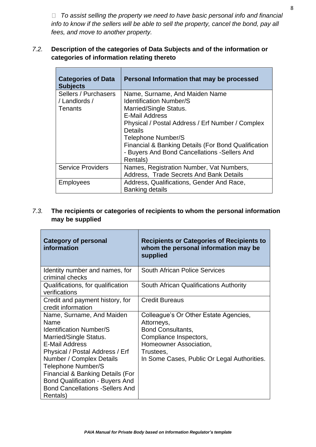*To assist selling the property we need to have basic personal info and financial info to know if the sellers will be able to sell the property, cancel the bond, pay all fees, and move to another property.*

#### *7.2.* **Description of the categories of Data Subjects and of the information or categories of information relating thereto**

 $\overline{a}$ 

| <b>Categories of Data</b><br><b>Subjects</b>     | Personal Information that may be processed                                                                                                                                                                              |
|--------------------------------------------------|-------------------------------------------------------------------------------------------------------------------------------------------------------------------------------------------------------------------------|
| Sellers / Purchasers<br>/ Landlords /<br>Tenants | Name, Surname, And Maiden Name<br><b>Identification Number/S</b><br>Married/Single Status.<br><b>E-Mail Address</b>                                                                                                     |
|                                                  | Physical / Postal Address / Erf Number / Complex<br><b>Details</b><br>Telephone Number/S<br><b>Financial &amp; Banking Details (For Bond Qualification</b><br>- Buyers And Bond Cancellations - Sellers And<br>Rentals) |
| <b>Service Providers</b>                         | Names, Registration Number, Vat Numbers,<br>Address, Trade Secrets And Bank Details                                                                                                                                     |
| Employees                                        | Address, Qualifications, Gender And Race,<br><b>Banking details</b>                                                                                                                                                     |

#### *7.3.* **The recipients or categories of recipients to whom the personal information may be supplied**

| <b>Category of personal</b><br>information                                                                                                                                                                                                                                                                                                       | <b>Recipients or Categories of Recipients to</b><br>whom the personal information may be<br>supplied                                                                                            |
|--------------------------------------------------------------------------------------------------------------------------------------------------------------------------------------------------------------------------------------------------------------------------------------------------------------------------------------------------|-------------------------------------------------------------------------------------------------------------------------------------------------------------------------------------------------|
| Identity number and names, for<br>criminal checks                                                                                                                                                                                                                                                                                                | <b>South African Police Services</b>                                                                                                                                                            |
| Qualifications, for qualification<br>verifications                                                                                                                                                                                                                                                                                               | South African Qualifications Authority                                                                                                                                                          |
| Credit and payment history, for<br>credit information                                                                                                                                                                                                                                                                                            | <b>Credit Bureaus</b>                                                                                                                                                                           |
| Name, Surname, And Maiden<br>Name<br><b>Identification Number/S</b><br>Married/Single Status.<br><b>E-Mail Address</b><br>Physical / Postal Address / Erf<br>Number / Complex Details<br>Telephone Number/S<br>Financial & Banking Details (For<br><b>Bond Qualification - Buyers And</b><br><b>Bond Cancellations - Sellers And</b><br>Rentals) | Colleague's Or Other Estate Agencies,<br>Attorneys,<br><b>Bond Consultants,</b><br>Compliance Inspectors,<br>Homeowner Association,<br>Trustees,<br>In Some Cases, Public Or Legal Authorities. |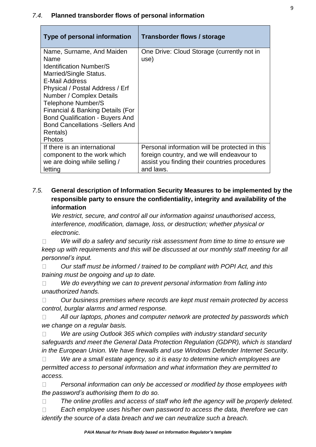#### *7.4.* **Planned transborder flows of personal information**

| Type of personal information                                                                                                                                                                                                                                                                                                                               | Transborder flows / storage                                                                                                                               |
|------------------------------------------------------------------------------------------------------------------------------------------------------------------------------------------------------------------------------------------------------------------------------------------------------------------------------------------------------------|-----------------------------------------------------------------------------------------------------------------------------------------------------------|
| Name, Surname, And Maiden<br>Name<br><b>Identification Number/S</b><br>Married/Single Status.<br>E-Mail Address<br>Physical / Postal Address / Erf<br>Number / Complex Details<br>Telephone Number/S<br>Financial & Banking Details (For<br><b>Bond Qualification - Buyers And</b><br><b>Bond Cancellations - Sellers And</b><br>Rentals)<br><b>Photos</b> | One Drive: Cloud Storage (currently not in<br>use)                                                                                                        |
| If there is an international<br>component to the work which<br>we are doing while selling /<br>letting                                                                                                                                                                                                                                                     | Personal information will be protected in this<br>foreign country, and we will endeavour to<br>assist you finding their countries procedures<br>and laws. |

#### *7.5.* **General description of Information Security Measures to be implemented by the responsible party to ensure the confidentiality, integrity and availability of the information**

*We restrict, secure, and control all our information against unauthorised access, interference, modification, damage, loss, or destruction; whether physical or electronic.*

*We will do a safety and security risk assessment from time to time to ensure we*   $\Box$ *keep up with requirements and this will be discussed at our monthly staff meeting for all personnel's input.*

*Our staff must be informed / trained to be compliant with POPI Act, and this*   $\Box$ *training must be ongoing and up to date.*

*We do everything we can to prevent personal information from falling into*   $\Box$ *unauthorized hands.* 

*Our business premises where records are kept must remain protected by access*   $\Box$ *control, burglar alarms and armed response.*

*All our laptops, phones and computer network are protected by passwords which*  $\Box$ *we change on a regular basis.* 

*We are using Outlook 365 which complies with industry standard security*   $\Box$ *safeguards and meet the General Data Protection Regulation (GDPR), which is standard in the European Union. We have firewalls and use Windows Defender Internet Security.*

*We are a small estate agency, so it is easy to determine which employees are*   $\Box$ *permitted access to personal information and what information they are permitted to access.* 

 $\Box$ *Personal information can only be accessed or modified by those employees with the password's authorising them to do so.*

 $\Box$ The online profiles and access of staff who left the agency will be properly deleted.

*Each employee uses his/her own password to access the data, therefore we can*   $\Box$ *identify the source of a data breach and we can neutralize such a breach.*